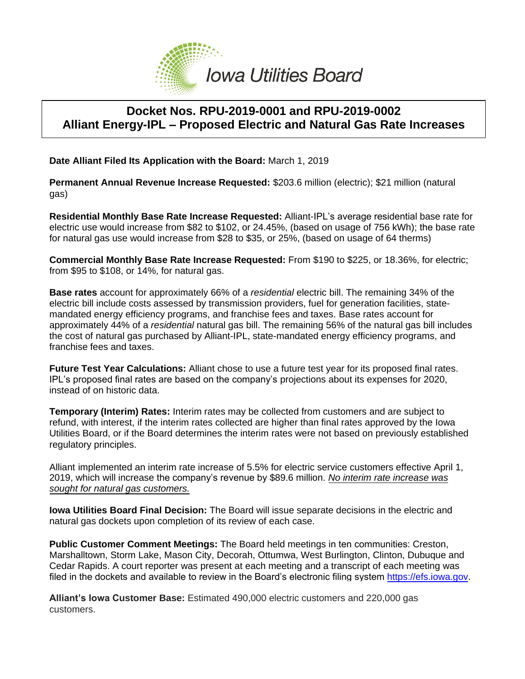

## **Docket Nos. RPU-2019-0001 and RPU-2019-0002 Alliant Energy-IPL – Proposed Electric and Natural Gas Rate Increases**

**Date Alliant Filed Its Application with the Board:** March 1, 2019

**Permanent Annual Revenue Increase Requested:** \$203.6 million (electric); \$21 million (natural gas)

**Residential Monthly Base Rate Increase Requested:** Alliant-IPL's average residential base rate for electric use would increase from \$82 to \$102, or 24.45%, (based on usage of 756 kWh); the base rate for natural gas use would increase from \$28 to \$35, or 25%, (based on usage of 64 therms)

**Commercial Monthly Base Rate Increase Requested:** From \$190 to \$225, or 18.36%, for electric; from \$95 to \$108, or 14%, for natural gas.

**Base rates** account for approximately 66% of a *residential* electric bill. The remaining 34% of the electric bill include costs assessed by transmission providers, fuel for generation facilities, statemandated energy efficiency programs, and franchise fees and taxes. Base rates account for approximately 44% of a *residential* natural gas bill. The remaining 56% of the natural gas bill includes the cost of natural gas purchased by Alliant-IPL, state-mandated energy efficiency programs, and franchise fees and taxes.

**Future Test Year Calculations:** Alliant chose to use a future test year for its proposed final rates. IPL's proposed final rates are based on the company's projections about its expenses for 2020, instead of on historic data.

**Temporary (Interim) Rates:** Interim rates may be collected from customers and are subject to refund, with interest, if the interim rates collected are higher than final rates approved by the Iowa Utilities Board, or if the Board determines the interim rates were not based on previously established regulatory principles.

Alliant implemented an interim rate increase of 5.5% for electric service customers effective April 1, 2019, which will increase the company's revenue by \$89.6 million. *No interim rate increase was sought for natural gas customers.*

**Iowa Utilities Board Final Decision:** The Board will issue separate decisions in the electric and natural gas dockets upon completion of its review of each case.

**Public Customer Comment Meetings:** The Board held meetings in ten communities: Creston, Marshalltown, Storm Lake, Mason City, Decorah, Ottumwa, West Burlington, Clinton, Dubuque and Cedar Rapids. A court reporter was present at each meeting and a transcript of each meeting was filed in the dockets and available to review in the Board's electronic filing system [https://efs.iowa.gov.](https://efs.iowa.gov/)

**Alliant's Iowa Customer Base:** Estimated 490,000 electric customers and 220,000 gas customers.